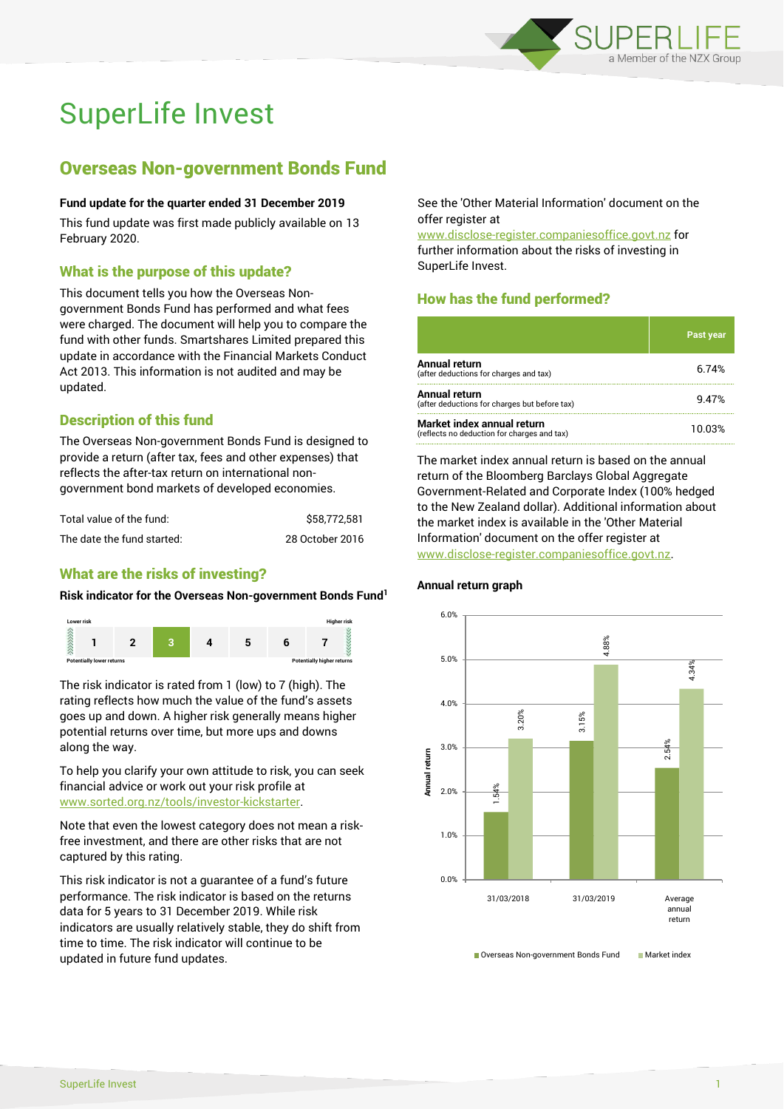

# SuperLife Invest

## Overseas Non-government Bonds Fund

### **Fund update for the quarter ended 31 December 2019**

This fund update was first made publicly available on 13 February 2020.

## What is the purpose of this update?

This document tells you how the Overseas Nongovernment Bonds Fund has performed and what fees were charged. The document will help you to compare the fund with other funds. Smartshares Limited prepared this update in accordance with the Financial Markets Conduct Act 2013. This information is not audited and may be updated.

## Description of this fund

The Overseas Non-government Bonds Fund is designed to provide a return (after tax, fees and other expenses) that reflects the after-tax return on international nongovernment bond markets of developed economies.

| Total value of the fund:   | \$58.772.581    |
|----------------------------|-----------------|
| The date the fund started: | 28 October 2016 |

## What are the risks of investing?

### **Risk indicator for the Overseas Non-government Bonds Fund<sup>1</sup>**



The risk indicator is rated from 1 (low) to 7 (high). The rating reflects how much the value of the fund's assets goes up and down. A higher risk generally means higher potential returns over time, but more ups and downs along the way.

To help you clarify your own attitude to risk, you can seek financial advice or work out your risk profile at [www.sorted.org.nz/tools/investor-kickstarter.](http://www.sorted.org.nz/tools/investor-kickstarter)

Note that even the lowest category does not mean a riskfree investment, and there are other risks that are not captured by this rating.

This risk indicator is not a guarantee of a fund's future performance. The risk indicator is based on the returns data for 5 years to 31 December 2019. While risk indicators are usually relatively stable, they do shift from time to time. The risk indicator will continue to be updated in future fund updates.

See the 'Other Material Information' document on the offer register at

www.disclose-register.companiesoffice.govt.nz for further information about the risks of investing in SuperLife Invest.

## How has the fund performed?

|                                                                           | <b>Past year</b> |
|---------------------------------------------------------------------------|------------------|
| <b>Annual return</b><br>(after deductions for charges and tax)            | 6.74%            |
| <b>Annual return</b><br>(after deductions for charges but before tax)     | 9.47%            |
| Market index annual return<br>(reflects no deduction for charges and tax) | 10.03%           |

The market index annual return is based on the annual return of the Bloomberg Barclays Global Aggregate Government-Related and Corporate Index (100% hedged to the New Zealand dollar). Additional information about the market index is available in the 'Other Material Information' document on the offer register at www.disclose-register.companiesoffice.govt.nz.



### **Annual return graph**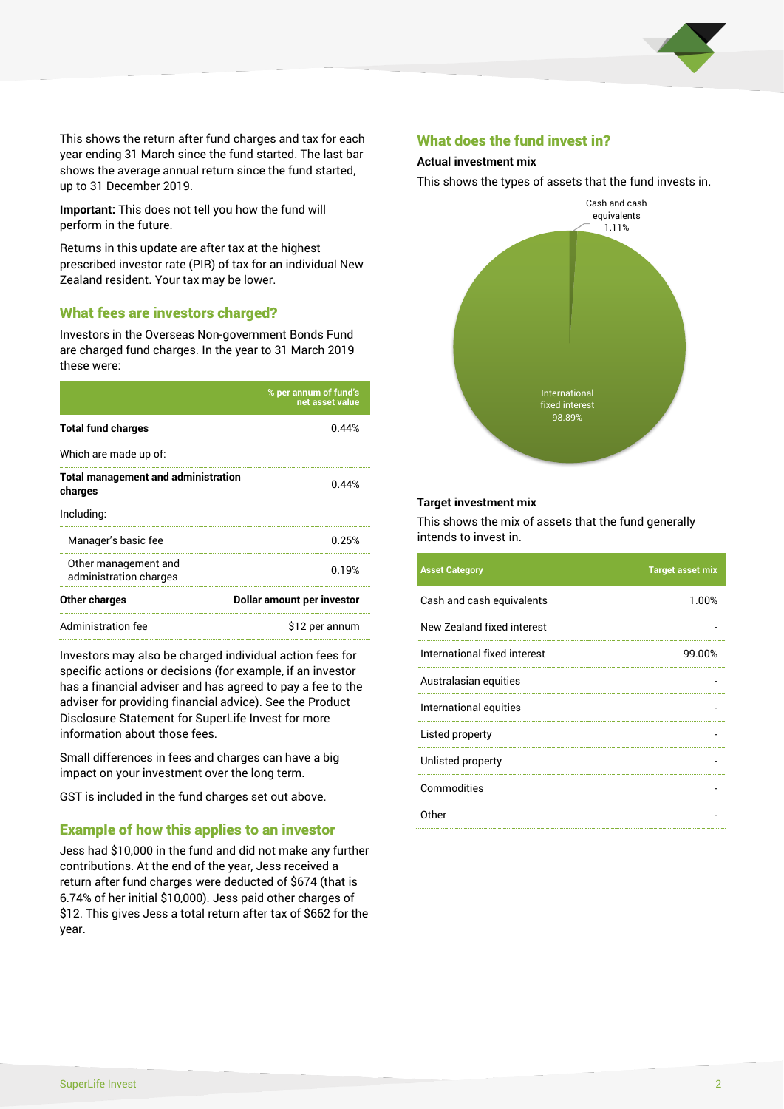

This shows the return after fund charges and tax for each year ending 31 March since the fund started. The last bar shows the average annual return since the fund started, up to 31 December 2019.

**Important:** This does not tell you how the fund will perform in the future.

Returns in this update are after tax at the highest prescribed investor rate (PIR) of tax for an individual New Zealand resident. Your tax may be lower.

## What fees are investors charged?

Investors in the Overseas Non-government Bonds Fund are charged fund charges. In the year to 31 March 2019 these were:

|                                                       | % per annum of fund's<br>net asset value |  |  |
|-------------------------------------------------------|------------------------------------------|--|--|
| <b>Total fund charges</b>                             | 0.44%                                    |  |  |
| Which are made up of:                                 |                                          |  |  |
| <b>Total management and administration</b><br>charges | 0.44%                                    |  |  |
| Including:                                            |                                          |  |  |
| Manager's basic fee                                   | 0.25%                                    |  |  |
| Other management and<br>administration charges        | 0.19%                                    |  |  |
| Other charges                                         | Dollar amount per investor               |  |  |
| Administration fee                                    | \$12 per annum                           |  |  |

Investors may also be charged individual action fees for specific actions or decisions (for example, if an investor has a financial adviser and has agreed to pay a fee to the adviser for providing financial advice). See the Product Disclosure Statement for SuperLife Invest for more information about those fees.

Small differences in fees and charges can have a big impact on your investment over the long term.

GST is included in the fund charges set out above.

## Example of how this applies to an investor

Jess had \$10,000 in the fund and did not make any further contributions. At the end of the year, Jess received a return after fund charges were deducted of \$674 (that is 6.74% of her initial \$10,000). Jess paid other charges of \$12. This gives Jess a total return after tax of \$662 for the year.

## What does the fund invest in?

#### **Actual investment mix**

This shows the types of assets that the fund invests in.



#### **Target investment mix**

This shows the mix of assets that the fund generally intends to invest in.

| <b>Asset Category</b>        | <b>Target asset mix</b> |
|------------------------------|-------------------------|
| Cash and cash equivalents    | 1.00%                   |
| New Zealand fixed interest   |                         |
| International fixed interest | 99.00%                  |
| Australasian equities        |                         |
| International equities       |                         |
| Listed property              |                         |
| Unlisted property            |                         |
| Commodities                  |                         |
| Other                        |                         |